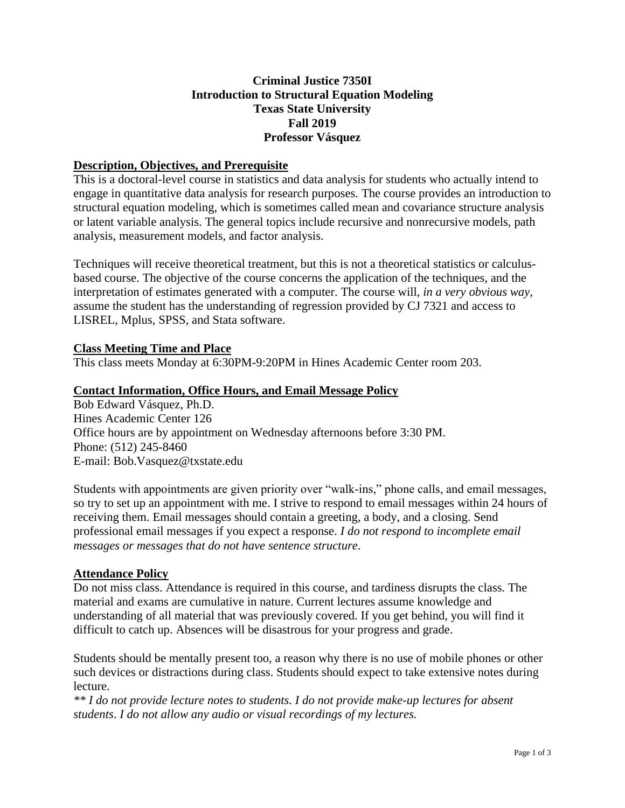# **Criminal Justice 7350I Introduction to Structural Equation Modeling Texas State University Fall 2019 Professor Vásquez**

## **Description, Objectives, and Prerequisite**

This is a doctoral-level course in statistics and data analysis for students who actually intend to engage in quantitative data analysis for research purposes. The course provides an introduction to structural equation modeling, which is sometimes called mean and covariance structure analysis or latent variable analysis. The general topics include recursive and nonrecursive models, path analysis, measurement models, and factor analysis.

Techniques will receive theoretical treatment, but this is not a theoretical statistics or calculusbased course. The objective of the course concerns the application of the techniques, and the interpretation of estimates generated with a computer. The course will, *in a very obvious way*, assume the student has the understanding of regression provided by CJ 7321 and access to LISREL, Mplus, SPSS, and Stata software.

## **Class Meeting Time and Place**

This class meets Monday at 6:30PM-9:20PM in Hines Academic Center room 203.

## **Contact Information, Office Hours, and Email Message Policy**

Bob Edward Vásquez, Ph.D. Hines Academic Center 126 Office hours are by appointment on Wednesday afternoons before 3:30 PM. Phone: (512) 245-8460 E-mail: Bob.Vasquez@txstate.edu

Students with appointments are given priority over "walk-ins," phone calls, and email messages, so try to set up an appointment with me. I strive to respond to email messages within 24 hours of receiving them. Email messages should contain a greeting, a body, and a closing. Send professional email messages if you expect a response. *I do not respond to incomplete email messages or messages that do not have sentence structure*.

## **Attendance Policy**

Do not miss class. Attendance is required in this course, and tardiness disrupts the class. The material and exams are cumulative in nature. Current lectures assume knowledge and understanding of all material that was previously covered. If you get behind, you will find it difficult to catch up. Absences will be disastrous for your progress and grade.

Students should be mentally present too, a reason why there is no use of mobile phones or other such devices or distractions during class. Students should expect to take extensive notes during lecture.

*\*\* I do not provide lecture notes to students. I do not provide make-up lectures for absent students*. *I do not allow any audio or visual recordings of my lectures.*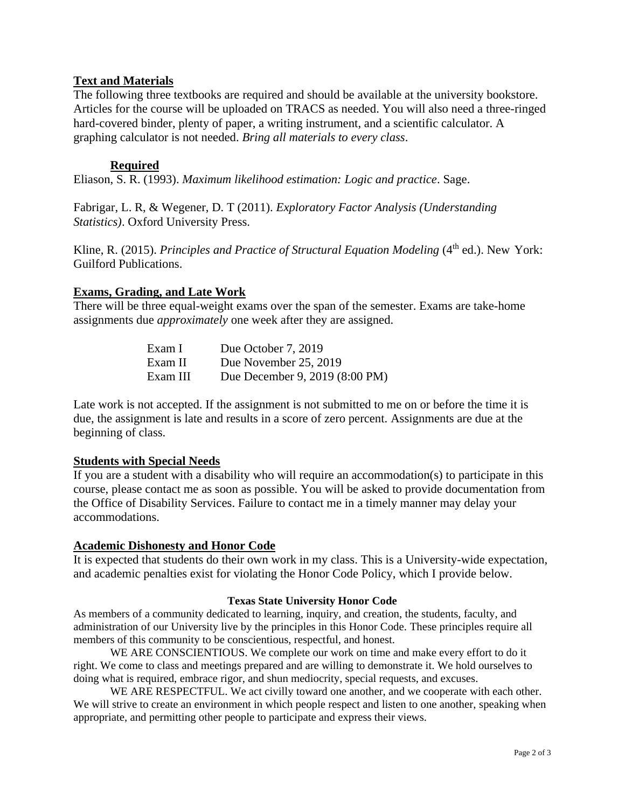## **Text and Materials**

The following three textbooks are required and should be available at the university bookstore. Articles for the course will be uploaded on TRACS as needed. You will also need a three-ringed hard-covered binder, plenty of paper, a writing instrument, and a scientific calculator. A graphing calculator is not needed. *Bring all materials to every class*.

## **Required**

Eliason, S. R. (1993). *Maximum likelihood estimation: Logic and practice*. Sage.

Fabrigar, L. R, & Wegener, D. T (2011). *Exploratory Factor Analysis (Understanding Statistics)*. Oxford University Press.

Kline, R. (2015). *Principles and Practice of Structural Equation Modeling* (4<sup>th</sup> ed.). New York: Guilford Publications.

### **Exams, Grading, and Late Work**

There will be three equal-weight exams over the span of the semester. Exams are take-home assignments due *approximately* one week after they are assigned.

| Exam I   | Due October 7, 2019            |
|----------|--------------------------------|
| Exam II  | Due November 25, 2019          |
| Exam III | Due December 9, 2019 (8:00 PM) |

Late work is not accepted. If the assignment is not submitted to me on or before the time it is due, the assignment is late and results in a score of zero percent. Assignments are due at the beginning of class.

### **Students with Special Needs**

If you are a student with a disability who will require an accommodation(s) to participate in this course, please contact me as soon as possible. You will be asked to provide documentation from the Office of Disability Services. Failure to contact me in a timely manner may delay your accommodations.

### **Academic Dishonesty and Honor Code**

It is expected that students do their own work in my class. This is a University-wide expectation, and academic penalties exist for violating the Honor Code Policy, which I provide below.

### **Texas State University Honor Code**

As members of a community dedicated to learning, inquiry, and creation, the students, faculty, and administration of our University live by the principles in this Honor Code. These principles require all members of this community to be conscientious, respectful, and honest.

WE ARE CONSCIENTIOUS. We complete our work on time and make every effort to do it right. We come to class and meetings prepared and are willing to demonstrate it. We hold ourselves to doing what is required, embrace rigor, and shun mediocrity, special requests, and excuses.

WE ARE RESPECTFUL. We act civilly toward one another, and we cooperate with each other. We will strive to create an environment in which people respect and listen to one another, speaking when appropriate, and permitting other people to participate and express their views.